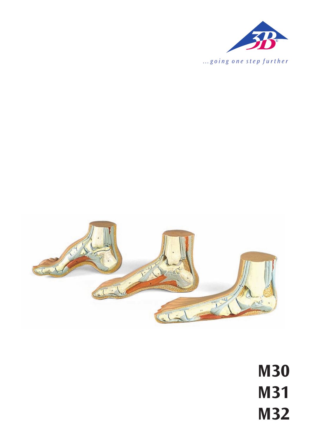



**M30 M31 M32**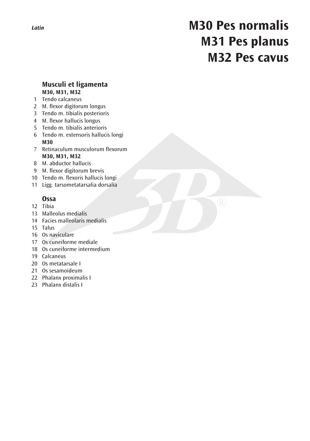## **M30 Pes normalis M31 Pes planus M32 Pes cavus**

### **Musculi et ligamenta M30, M31, M32**

1 Tendo calcaneus

- 2 M. flexor digitorum longus
- 3 Tendo m. tibialis posterioris
- 4 M. flexor hallucis longus
- 5 Tendo m. tibialis anterioris
- 6 Tendo m. extensoris hallucis longi  **M30**
- 7 Retinaculum musculorum flexorum  **M30, M31, M32**
- 8 M. abductor hallucis
- 9 M. flexor digitorum brevis
- 10 Tendo m. flexoris hallucis longi
- 11 Ligg. tarsometatarsalia dorsalia

### **Ossa**

- 12 Tibia
- 13 Malleolus medialis
- 14 Facies malleolaris medialis
- 15 Talus
- 16 Os naviculare
- 17 Os cuneiforme mediale
- 18 Os cuneiforme intermedium
- 19 Calcaneus
- 20 Os metatarsale I
- 21 Os sesamoideum
- 22 Phalanx proximalis I
- 23 Phalanx distalis I